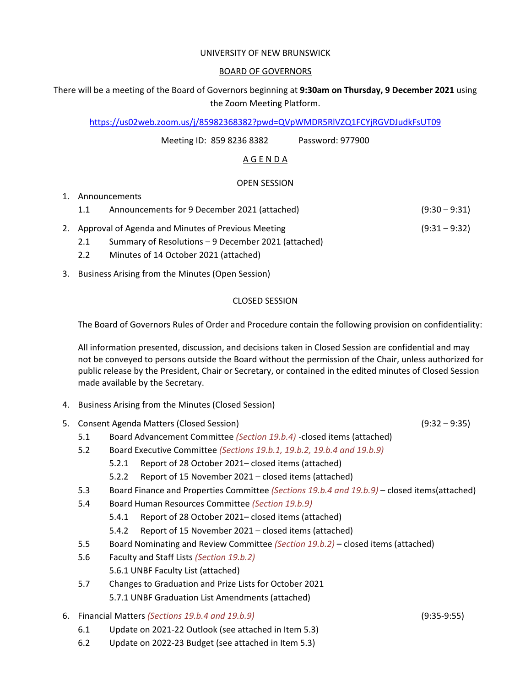## UNIVERSITY OF NEW BRUNSWICK

## BOARD OF GOVERNORS

There will be a meeting of the Board of Governors beginning at **9:30am on Thursday, 9 December 2021** using the Zoom Meeting Platform.

https://us02web.zoom.us/j/85982368382?pwd=QVpWMDR5RlVZQ1FCYjRGVDJudkFsUT09

Meeting ID: 859 8236 8382 Password: 977900

# A G E N D A

## OPEN SESSION

| 1. Announcements |                                                       |                 |  |  |
|------------------|-------------------------------------------------------|-----------------|--|--|
| 1.1              | Announcements for 9 December 2021 (attached)          | $(9:30 - 9:31)$ |  |  |
|                  | 2. Approval of Agenda and Minutes of Previous Meeting | $(9:31 - 9:32)$ |  |  |

- 2.1 Summary of Resolutions 9 December 2021 (attached)
- 2.2 Minutes of 14 October 2021 (attached)
- 3. Business Arising from the Minutes (Open Session)

## CLOSED SESSION

The Board of Governors Rules of Order and Procedure contain the following provision on confidentiality:

All information presented, discussion, and decisions taken in Closed Session are confidential and may not be conveyed to persons outside the Board without the permission of the Chair, unless authorized for public release by the President, Chair or Secretary, or contained in the edited minutes of Closed Session made available by the Secretary.

- 4. Business Arising from the Minutes (Closed Session)
- 5. Consent Agenda Matters (Closed Session) (9:32 9:35)
	- 5.1 Board Advancement Committee *(Section 19.b.4)* ‐closed items (attached)
	- 5.2 Board Executive Committee *(Sections 19.b.1, 19.b.2, 19.b.4 and 19.b.9)*
		- 5.2.1 Report of 28 October 2021– closed items (attached)
		- 5.2.2 Report of 15 November 2021 closed items (attached)
	- 5.3 Board Finance and Properties Committee *(Sections 19.b.4 and 19.b.9)* closed items(attached)
	- 5.4 Board Human Resources Committee *(Section 19.b.9)*
		- 5.4.1 Report of 28 October 2021– closed items (attached)
		- 5.4.2 Report of 15 November 2021 closed items (attached)
	- 5.5 Board Nominating and Review Committee *(Section 19.b.2)* closed items (attached)
	- 5.6 Faculty and Staff Lists *(Section 19.b.2)*
		- 5.6.1 UNBF Faculty List (attached)
	- 5.7 Changes to Graduation and Prize Lists for October 2021 5.7.1 UNBF Graduation List Amendments (attached)

#### 6. Financial Matters *(Sections 19.b.4 and 19.b.9)* (9:35‐9:55)

- 6.1 Update on 2021‐22 Outlook (see attached in Item 5.3)
- 6.2 Update on 2022‐23 Budget (see attached in Item 5.3)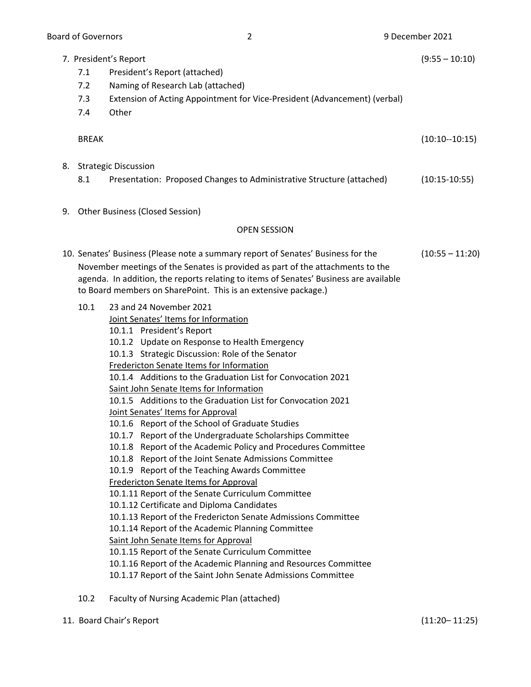| 7. President's Report | $(9:55 - 10:10)$                                                               |                                                                                              |                   |  |  |
|-----------------------|--------------------------------------------------------------------------------|----------------------------------------------------------------------------------------------|-------------------|--|--|
|                       | 7.1                                                                            | President's Report (attached)                                                                |                   |  |  |
|                       | 7.2                                                                            | Naming of Research Lab (attached)                                                            |                   |  |  |
|                       | 7.3                                                                            | Extension of Acting Appointment for Vice-President (Advancement) (verbal)                    |                   |  |  |
|                       | 7.4                                                                            | Other                                                                                        |                   |  |  |
|                       |                                                                                |                                                                                              |                   |  |  |
|                       | <b>BREAK</b>                                                                   |                                                                                              | $(10:10-10:15)$   |  |  |
|                       |                                                                                |                                                                                              |                   |  |  |
|                       |                                                                                | 8. Strategic Discussion                                                                      |                   |  |  |
|                       | 8.1                                                                            | Presentation: Proposed Changes to Administrative Structure (attached)                        | $(10:15-10:55)$   |  |  |
|                       |                                                                                |                                                                                              |                   |  |  |
|                       |                                                                                | 9. Other Business (Closed Session)                                                           |                   |  |  |
|                       |                                                                                |                                                                                              |                   |  |  |
|                       |                                                                                | <b>OPEN SESSION</b>                                                                          |                   |  |  |
|                       |                                                                                |                                                                                              |                   |  |  |
|                       |                                                                                | 10. Senates' Business (Please note a summary report of Senates' Business for the             | $(10:55 - 11:20)$ |  |  |
|                       | November meetings of the Senates is provided as part of the attachments to the |                                                                                              |                   |  |  |
|                       |                                                                                | agenda. In addition, the reports relating to items of Senates' Business are available        |                   |  |  |
|                       | to Board members on SharePoint. This is an extensive package.)                 |                                                                                              |                   |  |  |
|                       | 10.1                                                                           | 23 and 24 November 2021                                                                      |                   |  |  |
|                       |                                                                                | Joint Senates' Items for Information                                                         |                   |  |  |
|                       |                                                                                | 10.1.1 President's Report                                                                    |                   |  |  |
|                       |                                                                                | 10.1.2 Update on Response to Health Emergency                                                |                   |  |  |
|                       |                                                                                | 10.1.3 Strategic Discussion: Role of the Senator<br>Fredericton Senate Items for Information |                   |  |  |
|                       |                                                                                | 10.1.4 Additions to the Graduation List for Convocation 2021                                 |                   |  |  |
|                       |                                                                                | Saint John Senate Items for Information                                                      |                   |  |  |
|                       |                                                                                | 10.1.5 Additions to the Graduation List for Convocation 2021                                 |                   |  |  |
|                       |                                                                                | Joint Senates' Items for Approval                                                            |                   |  |  |
|                       |                                                                                | 10.1.6 Report of the School of Graduate Studies                                              |                   |  |  |
|                       |                                                                                | 10.1.7 Report of the Undergraduate Scholarships Committee                                    |                   |  |  |
|                       |                                                                                | 10.1.8 Report of the Academic Policy and Procedures Committee                                |                   |  |  |
|                       |                                                                                | 10.1.8 Report of the Joint Senate Admissions Committee                                       |                   |  |  |
|                       |                                                                                | 10.1.9 Report of the Teaching Awards Committee                                               |                   |  |  |
|                       |                                                                                | Fredericton Senate Items for Approval                                                        |                   |  |  |
|                       |                                                                                | 10.1.11 Report of the Senate Curriculum Committee                                            |                   |  |  |
|                       |                                                                                | 10.1.12 Certificate and Diploma Candidates                                                   |                   |  |  |
|                       |                                                                                | 10.1.13 Report of the Fredericton Senate Admissions Committee                                |                   |  |  |
|                       |                                                                                | 10.1.14 Report of the Academic Planning Committee                                            |                   |  |  |
|                       |                                                                                | Saint John Senate Items for Approval                                                         |                   |  |  |

10.1.15 Report of the Senate Curriculum Committee

- 10.1.16 Report of the Academic Planning and Resources Committee
- 10.1.17 Report of the Saint John Senate Admissions Committee
- 10.2 Faculty of Nursing Academic Plan (attached)
- 11. Board Chair's Report (11:20– 11:25)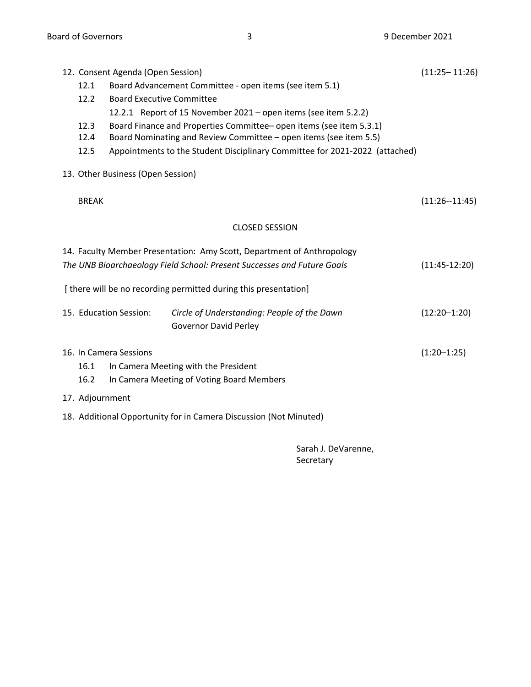|                                                                 |                                                                                            | 12. Consent Agenda (Open Session)                                           | $(11:25 - 11:26)$ |  |  |  |  |
|-----------------------------------------------------------------|--------------------------------------------------------------------------------------------|-----------------------------------------------------------------------------|-------------------|--|--|--|--|
|                                                                 | 12.1                                                                                       | Board Advancement Committee - open items (see item 5.1)                     |                   |  |  |  |  |
|                                                                 | 12.2                                                                                       | <b>Board Executive Committee</b>                                            |                   |  |  |  |  |
|                                                                 |                                                                                            | 12.2.1 Report of 15 November 2021 – open items (see item 5.2.2)             |                   |  |  |  |  |
|                                                                 | 12.3                                                                                       | Board Finance and Properties Committee- open items (see item 5.3.1)         |                   |  |  |  |  |
|                                                                 | 12.4                                                                                       | Board Nominating and Review Committee – open items (see item 5.5)           |                   |  |  |  |  |
|                                                                 | 12.5                                                                                       | Appointments to the Student Disciplinary Committee for 2021-2022 (attached) |                   |  |  |  |  |
|                                                                 | 13. Other Business (Open Session)                                                          |                                                                             |                   |  |  |  |  |
|                                                                 | <b>BREAK</b>                                                                               |                                                                             | $(11:26 - 11:45)$ |  |  |  |  |
|                                                                 |                                                                                            | <b>CLOSED SESSION</b>                                                       |                   |  |  |  |  |
|                                                                 | 14. Faculty Member Presentation: Amy Scott, Department of Anthropology                     |                                                                             |                   |  |  |  |  |
|                                                                 |                                                                                            |                                                                             |                   |  |  |  |  |
|                                                                 | The UNB Bioarchaeology Field School: Present Successes and Future Goals<br>$(11:45-12:20)$ |                                                                             |                   |  |  |  |  |
| [there will be no recording permitted during this presentation] |                                                                                            |                                                                             |                   |  |  |  |  |
|                                                                 |                                                                                            | 15. Education Session:<br>Circle of Understanding: People of the Dawn       | $(12:20 - 1:20)$  |  |  |  |  |
|                                                                 |                                                                                            | <b>Governor David Perley</b>                                                |                   |  |  |  |  |
| 16. In Camera Sessions                                          |                                                                                            |                                                                             |                   |  |  |  |  |
|                                                                 | 16.1                                                                                       | In Camera Meeting with the President                                        | $(1:20-1:25)$     |  |  |  |  |
|                                                                 | 16.2                                                                                       | In Camera Meeting of Voting Board Members                                   |                   |  |  |  |  |
|                                                                 |                                                                                            |                                                                             |                   |  |  |  |  |
| 17. Adjournment                                                 |                                                                                            |                                                                             |                   |  |  |  |  |
|                                                                 | 18. Additional Opportunity for in Camera Discussion (Not Minuted)                          |                                                                             |                   |  |  |  |  |

Sarah J. DeVarenne, Secretary